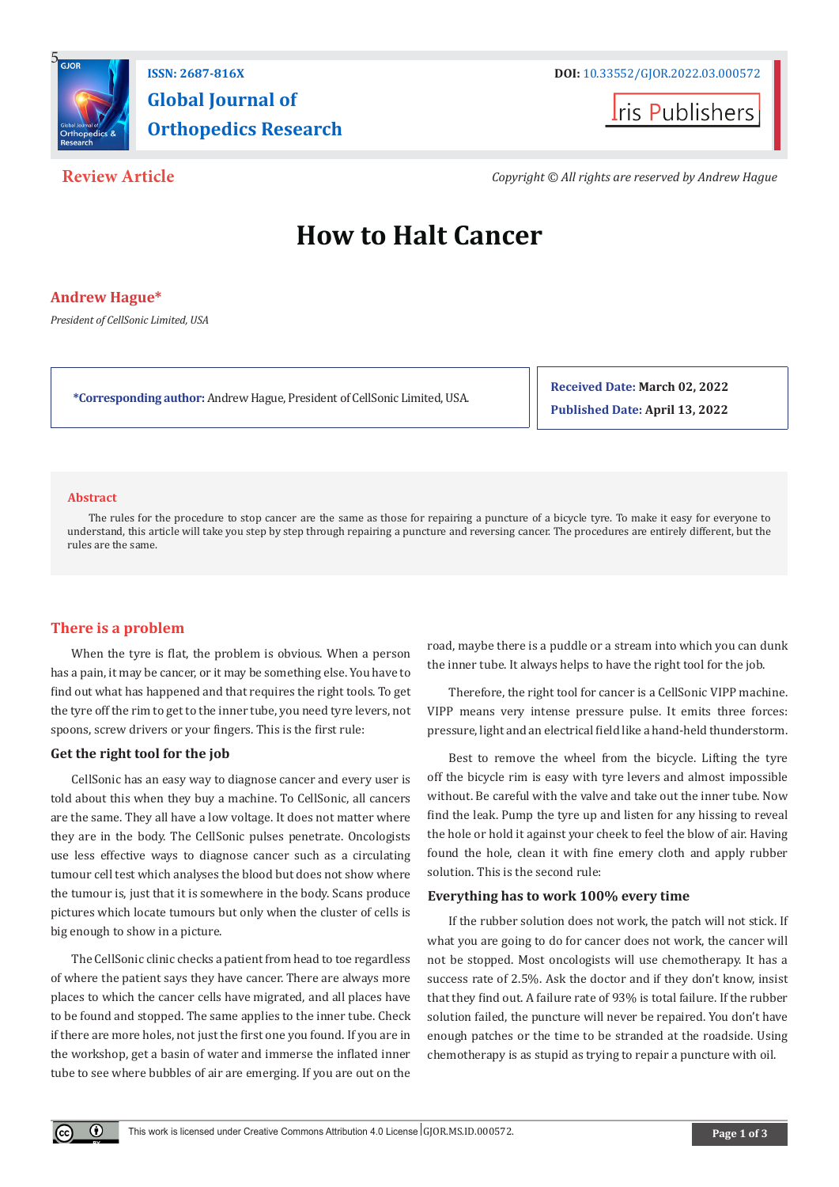

# **Global Journal of Orthopedics Research**

**I**ris Publishers

**Review Article** *Copyright © All rights are reserved by Andrew Hague*

## **How to Halt Cancer**

#### **Andrew Hague\***

*President of CellSonic Limited, USA*

**\*Corresponding author:** Andrew Hague, President of CellSonic Limited, USA.

**Received Date: March 02, 2022 Published Date: April 13, 2022**

#### **Abstract**

The rules for the procedure to stop cancer are the same as those for repairing a puncture of a bicycle tyre. To make it easy for everyone to understand, this article will take you step by step through repairing a puncture and reversing cancer. The procedures are entirely different, but the rules are the same.

### **There is a problem**

When the tyre is flat, the problem is obvious. When a person has a pain, it may be cancer, or it may be something else. You have to find out what has happened and that requires the right tools. To get the tyre off the rim to get to the inner tube, you need tyre levers, not spoons, screw drivers or your fingers. This is the first rule:

#### **Get the right tool for the job**

 $^{\circ}$ 

CellSonic has an easy way to diagnose cancer and every user is told about this when they buy a machine. To CellSonic, all cancers are the same. They all have a low voltage. It does not matter where they are in the body. The CellSonic pulses penetrate. Oncologists use less effective ways to diagnose cancer such as a circulating tumour cell test which analyses the blood but does not show where the tumour is, just that it is somewhere in the body. Scans produce pictures which locate tumours but only when the cluster of cells is big enough to show in a picture.

The CellSonic clinic checks a patient from head to toe regardless of where the patient says they have cancer. There are always more places to which the cancer cells have migrated, and all places have to be found and stopped. The same applies to the inner tube. Check if there are more holes, not just the first one you found. If you are in the workshop, get a basin of water and immerse the inflated inner tube to see where bubbles of air are emerging. If you are out on the

road, maybe there is a puddle or a stream into which you can dunk the inner tube. It always helps to have the right tool for the job.

Therefore, the right tool for cancer is a CellSonic VIPP machine. VIPP means very intense pressure pulse. It emits three forces: pressure, light and an electrical field like a hand-held thunderstorm.

Best to remove the wheel from the bicycle. Lifting the tyre off the bicycle rim is easy with tyre levers and almost impossible without. Be careful with the valve and take out the inner tube. Now find the leak. Pump the tyre up and listen for any hissing to reveal the hole or hold it against your cheek to feel the blow of air. Having found the hole, clean it with fine emery cloth and apply rubber solution. This is the second rule:

#### **Everything has to work 100% every time**

If the rubber solution does not work, the patch will not stick. If what you are going to do for cancer does not work, the cancer will not be stopped. Most oncologists will use chemotherapy. It has a success rate of 2.5%. Ask the doctor and if they don't know, insist that they find out. A failure rate of 93% is total failure. If the rubber solution failed, the puncture will never be repaired. You don't have enough patches or the time to be stranded at the roadside. Using chemotherapy is as stupid as trying to repair a puncture with oil.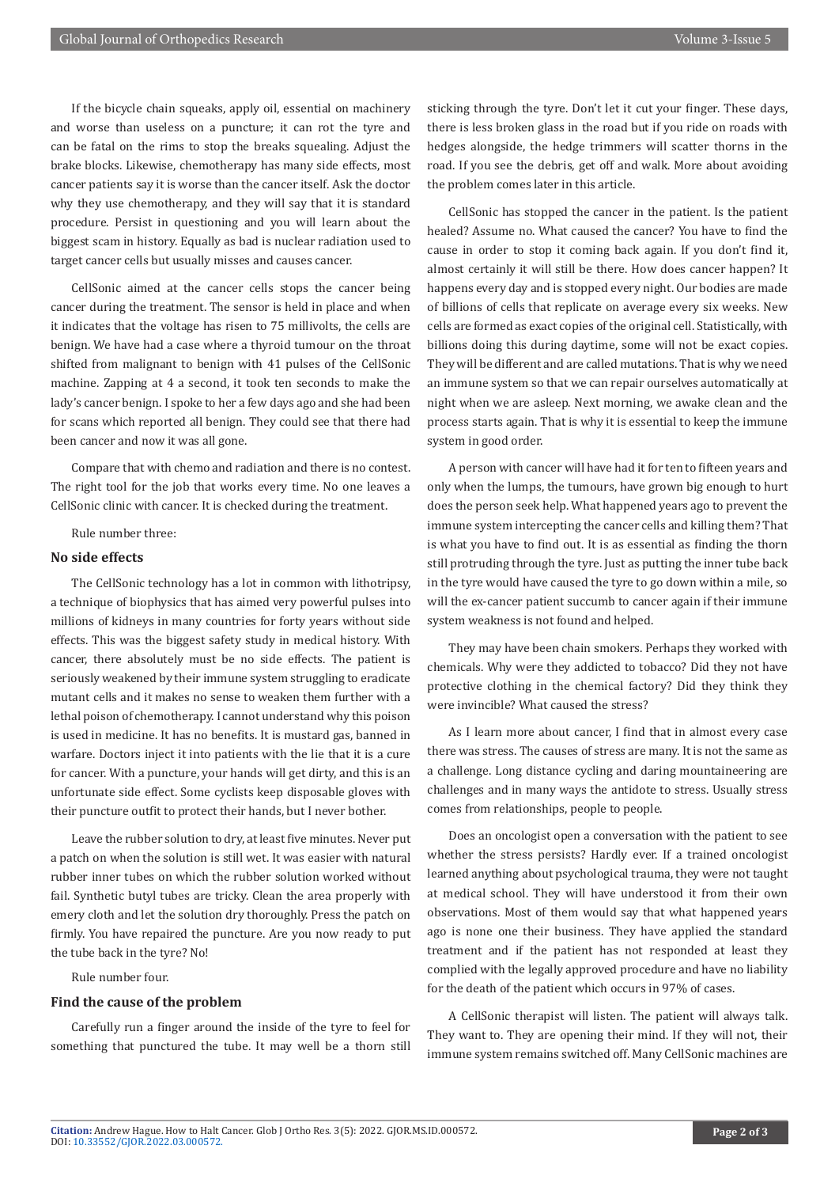If the bicycle chain squeaks, apply oil, essential on machinery and worse than useless on a puncture; it can rot the tyre and can be fatal on the rims to stop the breaks squealing. Adjust the brake blocks. Likewise, chemotherapy has many side effects, most cancer patients say it is worse than the cancer itself. Ask the doctor why they use chemotherapy, and they will say that it is standard procedure. Persist in questioning and you will learn about the biggest scam in history. Equally as bad is nuclear radiation used to target cancer cells but usually misses and causes cancer.

CellSonic aimed at the cancer cells stops the cancer being cancer during the treatment. The sensor is held in place and when it indicates that the voltage has risen to 75 millivolts, the cells are benign. We have had a case where a thyroid tumour on the throat shifted from malignant to benign with 41 pulses of the CellSonic machine. Zapping at 4 a second, it took ten seconds to make the lady's cancer benign. I spoke to her a few days ago and she had been for scans which reported all benign. They could see that there had been cancer and now it was all gone.

Compare that with chemo and radiation and there is no contest. The right tool for the job that works every time. No one leaves a CellSonic clinic with cancer. It is checked during the treatment.

Rule number three:

#### **No side effects**

The CellSonic technology has a lot in common with lithotripsy, a technique of biophysics that has aimed very powerful pulses into millions of kidneys in many countries for forty years without side effects. This was the biggest safety study in medical history. With cancer, there absolutely must be no side effects. The patient is seriously weakened by their immune system struggling to eradicate mutant cells and it makes no sense to weaken them further with a lethal poison of chemotherapy. I cannot understand why this poison is used in medicine. It has no benefits. It is mustard gas, banned in warfare. Doctors inject it into patients with the lie that it is a cure for cancer. With a puncture, your hands will get dirty, and this is an unfortunate side effect. Some cyclists keep disposable gloves with their puncture outfit to protect their hands, but I never bother.

Leave the rubber solution to dry, at least five minutes. Never put a patch on when the solution is still wet. It was easier with natural rubber inner tubes on which the rubber solution worked without fail. Synthetic butyl tubes are tricky. Clean the area properly with emery cloth and let the solution dry thoroughly. Press the patch on firmly. You have repaired the puncture. Are you now ready to put the tube back in the tyre? No!

Rule number four.

#### **Find the cause of the problem**

Carefully run a finger around the inside of the tyre to feel for something that punctured the tube. It may well be a thorn still

sticking through the tyre. Don't let it cut your finger. These days, there is less broken glass in the road but if you ride on roads with hedges alongside, the hedge trimmers will scatter thorns in the road. If you see the debris, get off and walk. More about avoiding the problem comes later in this article.

CellSonic has stopped the cancer in the patient. Is the patient healed? Assume no. What caused the cancer? You have to find the cause in order to stop it coming back again. If you don't find it, almost certainly it will still be there. How does cancer happen? It happens every day and is stopped every night. Our bodies are made of billions of cells that replicate on average every six weeks. New cells are formed as exact copies of the original cell. Statistically, with billions doing this during daytime, some will not be exact copies. They will be different and are called mutations. That is why we need an immune system so that we can repair ourselves automatically at night when we are asleep. Next morning, we awake clean and the process starts again. That is why it is essential to keep the immune system in good order.

A person with cancer will have had it for ten to fifteen years and only when the lumps, the tumours, have grown big enough to hurt does the person seek help. What happened years ago to prevent the immune system intercepting the cancer cells and killing them? That is what you have to find out. It is as essential as finding the thorn still protruding through the tyre. Just as putting the inner tube back in the tyre would have caused the tyre to go down within a mile, so will the ex-cancer patient succumb to cancer again if their immune system weakness is not found and helped.

They may have been chain smokers. Perhaps they worked with chemicals. Why were they addicted to tobacco? Did they not have protective clothing in the chemical factory? Did they think they were invincible? What caused the stress?

As I learn more about cancer, I find that in almost every case there was stress. The causes of stress are many. It is not the same as a challenge. Long distance cycling and daring mountaineering are challenges and in many ways the antidote to stress. Usually stress comes from relationships, people to people.

Does an oncologist open a conversation with the patient to see whether the stress persists? Hardly ever. If a trained oncologist learned anything about psychological trauma, they were not taught at medical school. They will have understood it from their own observations. Most of them would say that what happened years ago is none one their business. They have applied the standard treatment and if the patient has not responded at least they complied with the legally approved procedure and have no liability for the death of the patient which occurs in 97% of cases.

A CellSonic therapist will listen. The patient will always talk. They want to. They are opening their mind. If they will not, their immune system remains switched off. Many CellSonic machines are